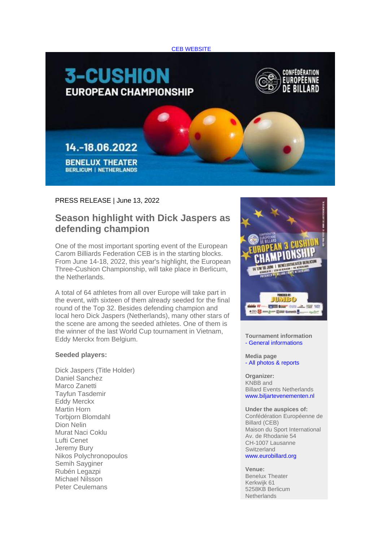



## PRESS RELEASE | June 13, 2022

## **Season highlight with Dick Jaspers as defending champion**

One of the most important sporting event of the European Carom Billiards Federation CEB is in the starting blocks. From June 14-18, 2022, this year's highlight, the European Three-Cushion Championship, will take place in Berlicum, the Netherlands.

A total of 64 athletes from all over Europe will take part in the event, with sixteen of them already seeded for the final round of the Top 32. Besides defending champion and local hero Dick Jaspers (Netherlands), many other stars of the scene are among the seeded athletes. One of them is the winner of the last World Cup tournament in Vietnam, Eddy Merckx from Belgium.

## **Seeded players:**

Dick Jaspers (Title Holder) Daniel Sanchez Marco Zanetti Tayfun Tasdemir Eddy Merckx Martin Horn Torbjorn Blomdahl Dion Nelin Murat Naci Coklu Lufti Cenet Jeremy Bury Nikos Polychronopoulos Semih Sayginer Rubén Legazpi Michael Nilsson Peter Ceulemans



**Tournament information** - [General informations](https://amxe.net/eytp5ow7-msxe3i07-vmn3quc6-vul)

**Media page** - [All photos & reports](https://amxe.net/eytp5ow7-msxe3i07-9blg39rn-j6e)

**Organizer:** KNBB and Billard Events Netherlands [www.biljartevenementen.nl](https://amxe.net/eytp5ow7-msxe3i07-dftyd7cn-4nm)

**Under the auspices of:** Confédération Européenne de Billard (CEB) Maison du Sport International Av. de Rhodanie 54 CH-1007 Lausanne **Switzerland** [www.eurobillard.org](https://amxe.net/eytp5ow7-msxe3i07-ej1pxj76-13vu)

**Venue:** Benelux Theater Kerkwijk 61 5258KB Berlicum **Netherlands**